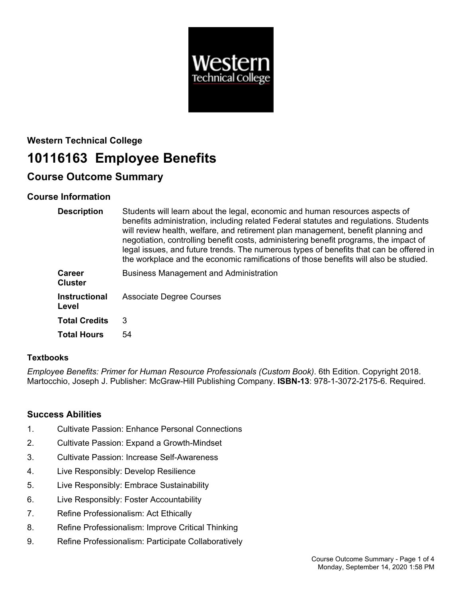

# **Western Technical College 10116163 Employee Benefits**

# **Course Outcome Summary**

# **Course Information**

| <b>Description</b>            | Students will learn about the legal, economic and human resources aspects of<br>benefits administration, including related Federal statutes and regulations. Students<br>will review health, welfare, and retirement plan management, benefit planning and<br>negotiation, controlling benefit costs, administering benefit programs, the impact of<br>legal issues, and future trends. The numerous types of benefits that can be offered in<br>the workplace and the economic ramifications of those benefits will also be studied. |
|-------------------------------|---------------------------------------------------------------------------------------------------------------------------------------------------------------------------------------------------------------------------------------------------------------------------------------------------------------------------------------------------------------------------------------------------------------------------------------------------------------------------------------------------------------------------------------|
| Career<br><b>Cluster</b>      | <b>Business Management and Administration</b>                                                                                                                                                                                                                                                                                                                                                                                                                                                                                         |
| <b>Instructional</b><br>Level | <b>Associate Degree Courses</b>                                                                                                                                                                                                                                                                                                                                                                                                                                                                                                       |
| <b>Total Credits</b>          | 3                                                                                                                                                                                                                                                                                                                                                                                                                                                                                                                                     |
| <b>Total Hours</b>            | 54                                                                                                                                                                                                                                                                                                                                                                                                                                                                                                                                    |

# **Textbooks**

*Employee Benefits: Primer for Human Resource Professionals (Custom Book)*. 6th Edition. Copyright 2018. Martocchio, Joseph J. Publisher: McGraw-Hill Publishing Company. **ISBN-13**: 978-1-3072-2175-6. Required.

# **Success Abilities**

- 1. Cultivate Passion: Enhance Personal Connections
- 2. Cultivate Passion: Expand a Growth-Mindset
- 3. Cultivate Passion: Increase Self-Awareness
- 4. Live Responsibly: Develop Resilience
- 5. Live Responsibly: Embrace Sustainability
- 6. Live Responsibly: Foster Accountability
- 7. Refine Professionalism: Act Ethically
- 8. Refine Professionalism: Improve Critical Thinking
- 9. Refine Professionalism: Participate Collaboratively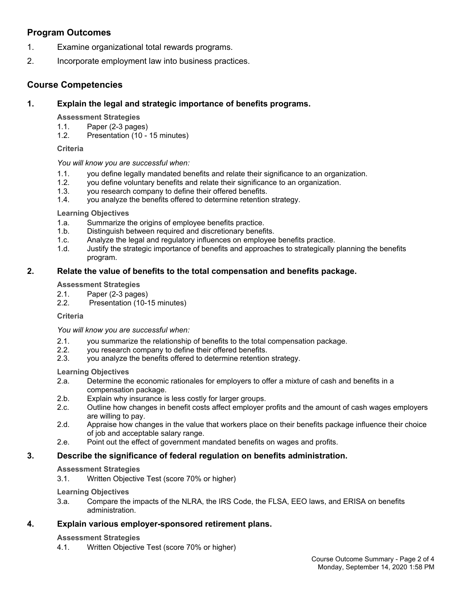# **Program Outcomes**

- 1. Examine organizational total rewards programs.
- 2. Incorporate employment law into business practices.

# **Course Competencies**

# **1. Explain the legal and strategic importance of benefits programs.**

#### **Assessment Strategies**

- 1.1. Paper (2-3 pages)
- 1.2. Presentation (10 15 minutes)

#### **Criteria**

#### *You will know you are successful when:*

- 1.1. you define legally mandated benefits and relate their significance to an organization.<br>1.2. vou define voluntary benefits and relate their significance to an organization.
- 1.2. you define voluntary benefits and relate their significance to an organization.<br>1.3. vou research company to define their offered benefits.
- you research company to define their offered benefits.
- 1.4. you analyze the benefits offered to determine retention strategy.

#### **Learning Objectives**

- 1.a. Summarize the origins of employee benefits practice.
- 1.b. Distinguish between required and discretionary benefits.
- 1.c. Analyze the legal and regulatory influences on employee benefits practice.
- 1.d. Justify the strategic importance of benefits and approaches to strategically planning the benefits program.

## **2. Relate the value of benefits to the total compensation and benefits package.**

**Assessment Strategies**

- 2.1. Paper (2-3 pages)
- 2.2. Presentation (10-15 minutes)

## **Criteria**

*You will know you are successful when:*

- 2.1. you summarize the relationship of benefits to the total compensation package.
- 2.2. you research company to define their offered benefits.
- 2.3. you analyze the benefits offered to determine retention strategy.

#### **Learning Objectives**

- 2.a. Determine the economic rationales for employers to offer a mixture of cash and benefits in a compensation package.
- 2.b. Explain why insurance is less costly for larger groups.
- 2.c. Outline how changes in benefit costs affect employer profits and the amount of cash wages employers are willing to pay.
- 2.d. Appraise how changes in the value that workers place on their benefits package influence their choice of job and acceptable salary range.
- 2.e. Point out the effect of government mandated benefits on wages and profits.

## **3. Describe the significance of federal regulation on benefits administration.**

## **Assessment Strategies**

3.1. Written Objective Test (score 70% or higher)

#### **Learning Objectives**

3.a. Compare the impacts of the NLRA, the IRS Code, the FLSA, EEO laws, and ERISA on benefits administration.

## **4. Explain various employer-sponsored retirement plans.**

#### **Assessment Strategies**

4.1. Written Objective Test (score 70% or higher)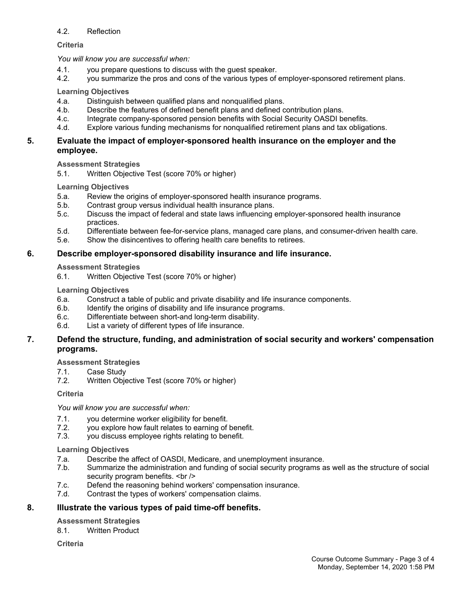#### 4.2. Reflection

#### **Criteria**

*You will know you are successful when:*

- 4.1. you prepare questions to discuss with the guest speaker.
- 4.2. you summarize the pros and cons of the various types of employer-sponsored retirement plans.

#### **Learning Objectives**

- 4.a. Distinguish between qualified plans and nonqualified plans.
- 4.b. Describe the features of defined benefit plans and defined contribution plans.
- 4.c. Integrate company-sponsored pension benefits with Social Security OASDI benefits.
- 4.d. Explore various funding mechanisms for nonqualified retirement plans and tax obligations.

#### **5. Evaluate the impact of employer-sponsored health insurance on the employer and the employee.**

#### **Assessment Strategies**

5.1. Written Objective Test (score 70% or higher)

#### **Learning Objectives**

- 5.a. Review the origins of employer-sponsored health insurance programs.
- 5.b. Contrast group versus individual health insurance plans.
- 5.c. Discuss the impact of federal and state laws influencing employer-sponsored health insurance practices.
- 5.d. Differentiate between fee-for-service plans, managed care plans, and consumer-driven health care.
- 5.e. Show the disincentives to offering health care benefits to retirees.

## **6. Describe employer-sponsored disability insurance and life insurance.**

**Assessment Strategies**

6.1. Written Objective Test (score 70% or higher)

#### **Learning Objectives**

- 6.a. Construct a table of public and private disability and life insurance components.
- Identify the origins of disability and life insurance programs.
- 6.c. Differentiate between short-and long-term disability.
- 6.d. List a variety of different types of life insurance.

# **7. Defend the structure, funding, and administration of social security and workers' compensation programs.**

## **Assessment Strategies**

- 7.1. Case Study
- 7.2. Written Objective Test (score 70% or higher)

## **Criteria**

*You will know you are successful when:*

- 7.1. you determine worker eligibility for benefit.
- 7.2. you explore how fault relates to earning of benefit.
- 7.3. you discuss employee rights relating to benefit.

## **Learning Objectives**

- 7.a. Describe the affect of OASDI, Medicare, and unemployment insurance.
- 7.b. Summarize the administration and funding of social security programs as well as the structure of social security program benefits. <br />
- 7.c. Defend the reasoning behind workers' compensation insurance.
- 7.d. Contrast the types of workers' compensation claims.

## **8. Illustrate the various types of paid time-off benefits.**

## **Assessment Strategies**

8.1. Written Product

**Criteria**